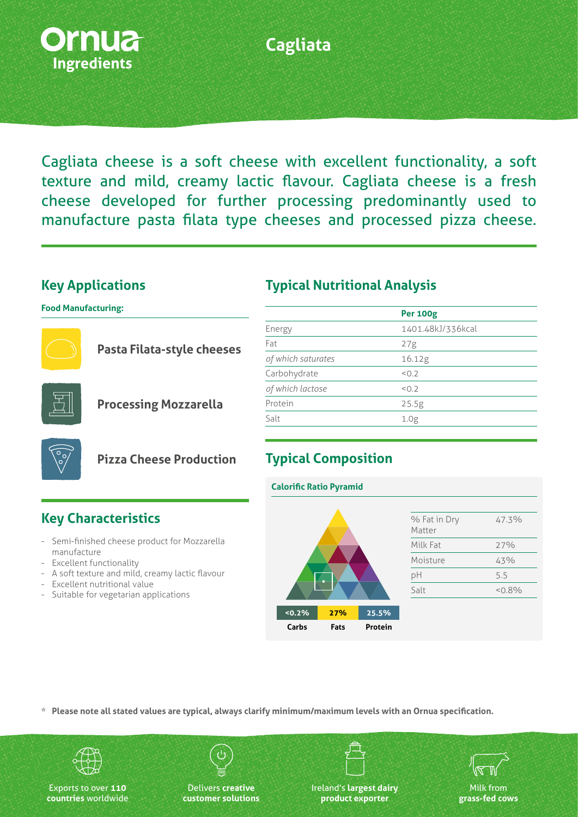

### **Cagliata**

Cagliata cheese is a soft cheese with excellent functionality, a soft texture and mild, creamy lactic flavour. Cagliata cheese is a fresh cheese developed for further processing predominantly used to manufacture pasta filata type cheeses and processed pizza cheese.

#### **Key Applications**

**Key Characteristics**

- Excellent nutritional value

- Suitable for vegetarian applications

manufacture - Excellent functionality

Semi-finished cheese product for Mozzarella

- A soft texture and mild, creamy lactic flavour

**Food Manufacturing:**



**Pasta Filata-style cheeses**



**Processing Mozzarella**

**Pizza Cheese Production**

| Energy             | 1401.48kJ/336kcal |
|--------------------|-------------------|
| Fat                | 27g               |
| of which saturates | 16.12g            |
| Carbohydrate       | 50.7              |
| of which lactose   | < 0.2             |
| Protein            | 25.5g             |

**Per 100g**

**Typical Nutritional Analysis**

#### **Typical Composition**

Salt 1.0g

#### **Calorific Ratio Pyramid**



**\* Please note all stated values are typical, always clarify minimum/maximum levels with an Ornua specification.**



Exports to over **110 countries** worldwide

Delivers **creative customer solutions** Ireland's **largest dairy product exporter**